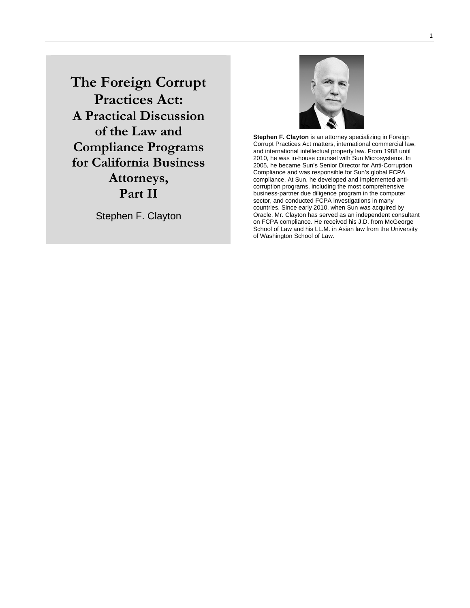**The Foreign Corrupt Practices Act: A Practical Discussion of the Law and Compliance Programs for California Business Attorneys, Part II** 

Stephen F. Clayton



**Stephen F. Clayton** is an attorney specializing in Foreign Corrupt Practices Act matters, international commercial law, and international intellectual property law. From 1988 until 2010, he was in-house counsel with Sun Microsystems. In 2005, he became Sun's Senior Director for Anti-Corruption Compliance and was responsible for Sun's global FCPA compliance. At Sun, he developed and implemented anticorruption programs, including the most comprehensive business-partner due diligence program in the computer sector, and conducted FCPA investigations in many countries. Since early 2010, when Sun was acquired by Oracle, Mr. Clayton has served as an independent consultant on FCPA compliance. He received his J.D. from McGeorge School of Law and his LL.M. in Asian law from the University of Washington School of Law.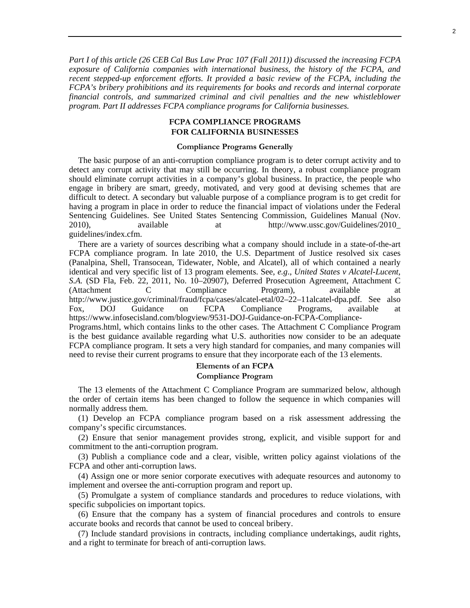*Part I of this article (26 CEB Cal Bus Law Prac 107 (Fall 2011)) discussed the increasing FCPA exposure of California companies with international business, the history of the FCPA, and recent stepped-up enforcement efforts. It provided a basic review of the FCPA, including the FCPA's bribery prohibitions and its requirements for books and records and internal corporate financial controls, and summarized criminal and civil penalties and the new whistleblower program. Part II addresses FCPA compliance programs for California businesses.* 

## **FCPA COMPLIANCE PROGRAMS FOR CALIFORNIA BUSINESSES**

#### **Compliance Programs Generally**

The basic purpose of an anti-corruption compliance program is to deter corrupt activity and to detect any corrupt activity that may still be occurring. In theory, a robust compliance program should eliminate corrupt activities in a company's global business. In practice, the people who engage in bribery are smart, greedy, motivated, and very good at devising schemes that are difficult to detect. A secondary but valuable purpose of a compliance program is to get credit for having a program in place in order to reduce the financial impact of violations under the Federal Sentencing Guidelines. See United States Sentencing Commission, Guidelines Manual (Nov. 2010), available at http://www.ussc.gov/Guidelines/2010\_ guidelines/index.cfm.

There are a variety of sources describing what a company should include in a state-of-the-art FCPA compliance program. In late 2010, the U.S. Department of Justice resolved six cases (Panalpina, Shell, Transocean, Tidewater, Noble, and Alcatel), all of which contained a nearly identical and very specific list of 13 program elements. See, *e.g*., *United States v Alcatel-Lucent, S.A.* (SD Fla, Feb. 22, 2011, No. 10–20907), Deferred Prosecution Agreement, Attachment C (Attachment C Compliance Program), available at http://www.justice.gov/criminal/fraud/fcpa/cases/alcatel-etal/02–22–11alcatel-dpa.pdf. See also Fox, DOJ Guidance on FCPA Compliance Programs, available at https://www.infosecisland.com/blogview/9531-DOJ-Guidance-on-FCPA-Compliance-Programs.html, which contains links to the other cases. The Attachment C Compliance Program is the best guidance available regarding what U.S. authorities now consider to be an adequate FCPA compliance program. It sets a very high standard for companies, and many companies will need to revise their current programs to ensure that they incorporate each of the 13 elements.

# **Elements of an FCPA Compliance Program**

The 13 elements of the Attachment C Compliance Program are summarized below, although the order of certain items has been changed to follow the sequence in which companies will normally address them.

(1) Develop an FCPA compliance program based on a risk assessment addressing the company's specific circumstances.

(2) Ensure that senior management provides strong, explicit, and visible support for and commitment to the anti-corruption program.

(3) Publish a compliance code and a clear, visible, written policy against violations of the FCPA and other anti-corruption laws.

(4) Assign one or more senior corporate executives with adequate resources and autonomy to implement and oversee the anti-corruption program and report up.

(5) Promulgate a system of compliance standards and procedures to reduce violations, with specific subpolicies on important topics.

(6) Ensure that the company has a system of financial procedures and controls to ensure accurate books and records that cannot be used to conceal bribery.

(7) Include standard provisions in contracts, including compliance undertakings, audit rights, and a right to terminate for breach of anti-corruption laws.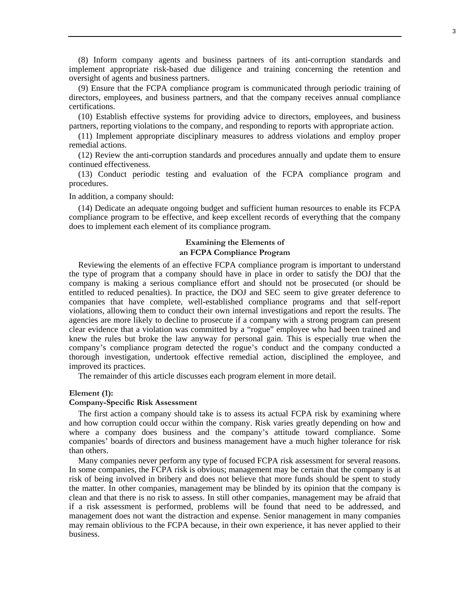(8) Inform company agents and business partners of its anti-corruption standards and implement appropriate risk-based due diligence and training concerning the retention and oversight of agents and business partners.

(9) Ensure that the FCPA compliance program is communicated through periodic training of directors, employees, and business partners, and that the company receives annual compliance certifications.

(10) Establish effective systems for providing advice to directors, employees, and business partners, reporting violations to the company, and responding to reports with appropriate action.

(11) Implement appropriate disciplinary measures to address violations and employ proper remedial actions.

(12) Review the anti-corruption standards and procedures annually and update them to ensure continued effectiveness.

(13) Conduct periodic testing and evaluation of the FCPA compliance program and procedures.

In addition, a company should:

(14) Dedicate an adequate ongoing budget and sufficient human resources to enable its FCPA compliance program to be effective, and keep excellent records of everything that the company does to implement each element of its compliance program.

### **Examining the Elements of an FCPA Compliance Program**

Reviewing the elements of an effective FCPA compliance program is important to understand the type of program that a company should have in place in order to satisfy the DOJ that the company is making a serious compliance effort and should not be prosecuted (or should be entitled to reduced penalties). In practice, the DOJ and SEC seem to give greater deference to companies that have complete, well-established compliance programs and that self-report violations, allowing them to conduct their own internal investigations and report the results. The agencies are more likely to decline to prosecute if a company with a strong program can present clear evidence that a violation was committed by a "rogue" employee who had been trained and knew the rules but broke the law anyway for personal gain. This is especially true when the company's compliance program detected the rogue's conduct and the company conducted a thorough investigation, undertook effective remedial action, disciplined the employee, and improved its practices.

The remainder of this article discusses each program element in more detail.

### **Element (1):**

### **Company-Specific Risk Assessment**

The first action a company should take is to assess its actual FCPA risk by examining where and how corruption could occur within the company. Risk varies greatly depending on how and where a company does business and the company's attitude toward compliance. Some companies' boards of directors and business management have a much higher tolerance for risk than others.

Many companies never perform any type of focused FCPA risk assessment for several reasons. In some companies, the FCPA risk is obvious; management may be certain that the company is at risk of being involved in bribery and does not believe that more funds should be spent to study the matter. In other companies, management may be blinded by its opinion that the company is clean and that there is no risk to assess. In still other companies, management may be afraid that if a risk assessment is performed, problems will be found that need to be addressed, and management does not want the distraction and expense. Senior management in many companies may remain oblivious to the FCPA because, in their own experience, it has never applied to their business.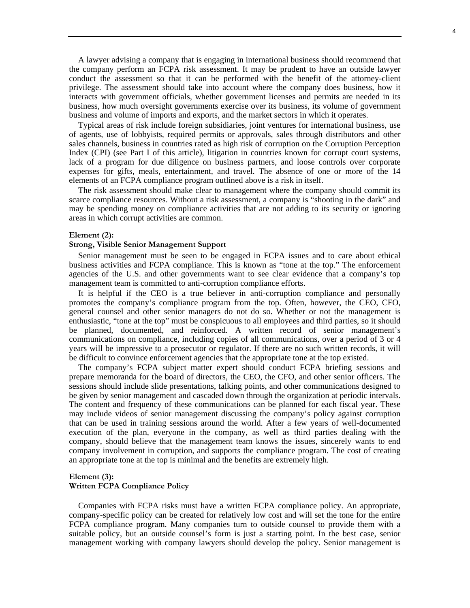A lawyer advising a company that is engaging in international business should recommend that the company perform an FCPA risk assessment. It may be prudent to have an outside lawyer conduct the assessment so that it can be performed with the benefit of the attorney-client privilege. The assessment should take into account where the company does business, how it interacts with government officials, whether government licenses and permits are needed in its business, how much oversight governments exercise over its business, its volume of government business and volume of imports and exports, and the market sectors in which it operates.

Typical areas of risk include foreign subsidiaries, joint ventures for international business, use of agents, use of lobbyists, required permits or approvals, sales through distributors and other sales channels, business in countries rated as high risk of corruption on the Corruption Perception Index (CPI) (see Part I of this article), litigation in countries known for corrupt court systems, lack of a program for due diligence on business partners, and loose controls over corporate expenses for gifts, meals, entertainment, and travel. The absence of one or more of the 14 elements of an FCPA compliance program outlined above is a risk in itself.

The risk assessment should make clear to management where the company should commit its scarce compliance resources. Without a risk assessment, a company is "shooting in the dark" and may be spending money on compliance activities that are not adding to its security or ignoring areas in which corrupt activities are common.

### **Element (2):**

## **Strong, Visible Senior Management Support**

Senior management must be seen to be engaged in FCPA issues and to care about ethical business activities and FCPA compliance. This is known as "tone at the top." The enforcement agencies of the U.S. and other governments want to see clear evidence that a company's top management team is committed to anti-corruption compliance efforts.

It is helpful if the CEO is a true believer in anti-corruption compliance and personally promotes the company's compliance program from the top. Often, however, the CEO, CFO, general counsel and other senior managers do not do so. Whether or not the management is enthusiastic, "tone at the top" must be conspicuous to all employees and third parties, so it should be planned, documented, and reinforced. A written record of senior management's communications on compliance, including copies of all communications, over a period of 3 or 4 years will be impressive to a prosecutor or regulator. If there are no such written records, it will be difficult to convince enforcement agencies that the appropriate tone at the top existed.

The company's FCPA subject matter expert should conduct FCPA briefing sessions and prepare memoranda for the board of directors, the CEO, the CFO, and other senior officers. The sessions should include slide presentations, talking points, and other communications designed to be given by senior management and cascaded down through the organization at periodic intervals. The content and frequency of these communications can be planned for each fiscal year. These may include videos of senior management discussing the company's policy against corruption that can be used in training sessions around the world. After a few years of well-documented execution of the plan, everyone in the company, as well as third parties dealing with the company, should believe that the management team knows the issues, sincerely wants to end company involvement in corruption, and supports the compliance program. The cost of creating an appropriate tone at the top is minimal and the benefits are extremely high.

## **Element (3):**

#### **Written FCPA Compliance Policy**

Companies with FCPA risks must have a written FCPA compliance policy. An appropriate, company-specific policy can be created for relatively low cost and will set the tone for the entire FCPA compliance program. Many companies turn to outside counsel to provide them with a suitable policy, but an outside counsel's form is just a starting point. In the best case, senior management working with company lawyers should develop the policy. Senior management is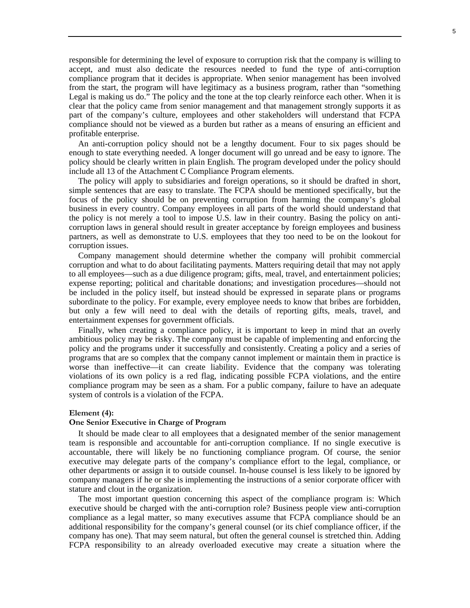responsible for determining the level of exposure to corruption risk that the company is willing to accept, and must also dedicate the resources needed to fund the type of anti-corruption compliance program that it decides is appropriate. When senior management has been involved from the start, the program will have legitimacy as a business program, rather than "something Legal is making us do." The policy and the tone at the top clearly reinforce each other. When it is clear that the policy came from senior management and that management strongly supports it as part of the company's culture, employees and other stakeholders will understand that FCPA compliance should not be viewed as a burden but rather as a means of ensuring an efficient and profitable enterprise.

An anti-corruption policy should not be a lengthy document. Four to six pages should be enough to state everything needed. A longer document will go unread and be easy to ignore. The policy should be clearly written in plain English. The program developed under the policy should include all 13 of the Attachment C Compliance Program elements.

The policy will apply to subsidiaries and foreign operations, so it should be drafted in short, simple sentences that are easy to translate. The FCPA should be mentioned specifically, but the focus of the policy should be on preventing corruption from harming the company's global business in every country. Company employees in all parts of the world should understand that the policy is not merely a tool to impose U.S. law in their country. Basing the policy on anticorruption laws in general should result in greater acceptance by foreign employees and business partners, as well as demonstrate to U.S. employees that they too need to be on the lookout for corruption issues.

Company management should determine whether the company will prohibit commercial corruption and what to do about facilitating payments. Matters requiring detail that may not apply to all employees—such as a due diligence program; gifts, meal, travel, and entertainment policies; expense reporting; political and charitable donations; and investigation procedures—should not be included in the policy itself, but instead should be expressed in separate plans or programs subordinate to the policy. For example, every employee needs to know that bribes are forbidden, but only a few will need to deal with the details of reporting gifts, meals, travel, and entertainment expenses for government officials.

Finally, when creating a compliance policy, it is important to keep in mind that an overly ambitious policy may be risky. The company must be capable of implementing and enforcing the policy and the programs under it successfully and consistently. Creating a policy and a series of programs that are so complex that the company cannot implement or maintain them in practice is worse than ineffective—it can create liability. Evidence that the company was tolerating violations of its own policy is a red flag, indicating possible FCPA violations, and the entire compliance program may be seen as a sham. For a public company, failure to have an adequate system of controls is a violation of the FCPA.

## **Element (4):**

### **One Senior Executive in Charge of Program**

It should be made clear to all employees that a designated member of the senior management team is responsible and accountable for anti-corruption compliance. If no single executive is accountable, there will likely be no functioning compliance program. Of course, the senior executive may delegate parts of the company's compliance effort to the legal, compliance, or other departments or assign it to outside counsel. In-house counsel is less likely to be ignored by company managers if he or she is implementing the instructions of a senior corporate officer with stature and clout in the organization.

The most important question concerning this aspect of the compliance program is: Which executive should be charged with the anti-corruption role? Business people view anti-corruption compliance as a legal matter, so many executives assume that FCPA compliance should be an additional responsibility for the company's general counsel (or its chief compliance officer, if the company has one). That may seem natural, but often the general counsel is stretched thin. Adding FCPA responsibility to an already overloaded executive may create a situation where the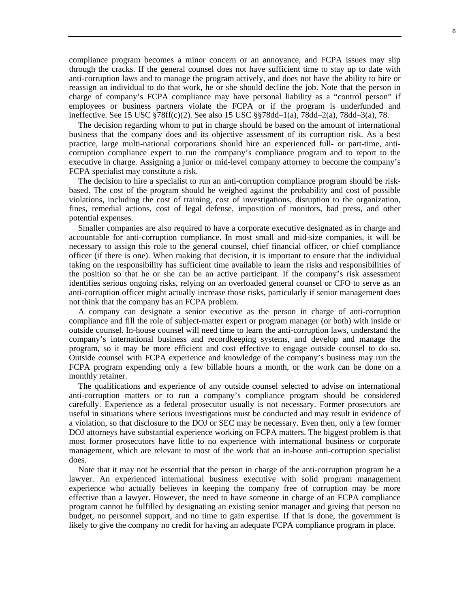compliance program becomes a minor concern or an annoyance, and FCPA issues may slip through the cracks. If the general counsel does not have sufficient time to stay up to date with anti-corruption laws and to manage the program actively, and does not have the ability to hire or reassign an individual to do that work, he or she should decline the job. Note that the person in charge of company's FCPA compliance may have personal liability as a "control person" if employees or business partners violate the FCPA or if the program is underfunded and ineffective. See 15 USC §78ff(c)(2). See also 15 USC §§78dd–1(a), 78dd–2(a), 78dd–3(a), 78.

The decision regarding whom to put in charge should be based on the amount of international business that the company does and its objective assessment of its corruption risk. As a best practice, large multi-national corporations should hire an experienced full- or part-time, anticorruption compliance expert to run the company's compliance program and to report to the executive in charge. Assigning a junior or mid-level company attorney to become the company's FCPA specialist may constitute a risk.

The decision to hire a specialist to run an anti-corruption compliance program should be riskbased. The cost of the program should be weighed against the probability and cost of possible violations, including the cost of training, cost of investigations, disruption to the organization, fines, remedial actions, cost of legal defense, imposition of monitors, bad press, and other potential expenses.

Smaller companies are also required to have a corporate executive designated as in charge and accountable for anti-corruption compliance. In most small and mid-size companies, it will be necessary to assign this role to the general counsel, chief financial officer, or chief compliance officer (if there is one). When making that decision, it is important to ensure that the individual taking on the responsibility has sufficient time available to learn the risks and responsibilities of the position so that he or she can be an active participant. If the company's risk assessment identifies serious ongoing risks, relying on an overloaded general counsel or CFO to serve as an anti-corruption officer might actually increase those risks, particularly if senior management does not think that the company has an FCPA problem.

A company can designate a senior executive as the person in charge of anti-corruption compliance and fill the role of subject-matter expert or program manager (or both) with inside or outside counsel. In-house counsel will need time to learn the anti-corruption laws, understand the company's international business and recordkeeping systems, and develop and manage the program, so it may be more efficient and cost effective to engage outside counsel to do so. Outside counsel with FCPA experience and knowledge of the company's business may run the FCPA program expending only a few billable hours a month, or the work can be done on a monthly retainer.

The qualifications and experience of any outside counsel selected to advise on international anti-corruption matters or to run a company's compliance program should be considered carefully. Experience as a federal prosecutor usually is not necessary. Former prosecutors are useful in situations where serious investigations must be conducted and may result in evidence of a violation, so that disclosure to the DOJ or SEC may be necessary. Even then, only a few former DOJ attorneys have substantial experience working on FCPA matters. The biggest problem is that most former prosecutors have little to no experience with international business or corporate management, which are relevant to most of the work that an in-house anti-corruption specialist does.

Note that it may not be essential that the person in charge of the anti-corruption program be a lawyer. An experienced international business executive with solid program management experience who actually believes in keeping the company free of corruption may be more effective than a lawyer. However, the need to have someone in charge of an FCPA compliance program cannot be fulfilled by designating an existing senior manager and giving that person no budget, no personnel support, and no time to gain expertise. If that is done, the government is likely to give the company no credit for having an adequate FCPA compliance program in place.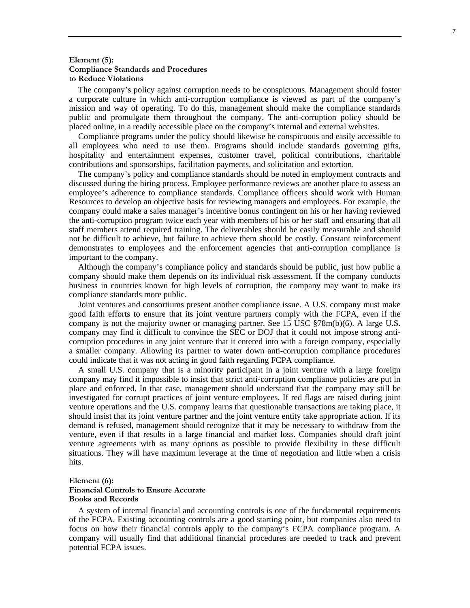### **Element (5): Compliance Standards and Procedures to Reduce Violations**

The company's policy against corruption needs to be conspicuous. Management should foster a corporate culture in which anti-corruption compliance is viewed as part of the company's mission and way of operating. To do this, management should make the compliance standards public and promulgate them throughout the company. The anti-corruption policy should be placed online, in a readily accessible place on the company's internal and external websites.

Compliance programs under the policy should likewise be conspicuous and easily accessible to all employees who need to use them. Programs should include standards governing gifts, hospitality and entertainment expenses, customer travel, political contributions, charitable contributions and sponsorships, facilitation payments, and solicitation and extortion.

The company's policy and compliance standards should be noted in employment contracts and discussed during the hiring process. Employee performance reviews are another place to assess an employee's adherence to compliance standards. Compliance officers should work with Human Resources to develop an objective basis for reviewing managers and employees. For example, the company could make a sales manager's incentive bonus contingent on his or her having reviewed the anti-corruption program twice each year with members of his or her staff and ensuring that all staff members attend required training. The deliverables should be easily measurable and should not be difficult to achieve, but failure to achieve them should be costly. Constant reinforcement demonstrates to employees and the enforcement agencies that anti-corruption compliance is important to the company.

Although the company's compliance policy and standards should be public, just how public a company should make them depends on its individual risk assessment. If the company conducts business in countries known for high levels of corruption, the company may want to make its compliance standards more public.

Joint ventures and consortiums present another compliance issue. A U.S. company must make good faith efforts to ensure that its joint venture partners comply with the FCPA, even if the company is not the majority owner or managing partner. See  $15 \text{ USC } \text{\textless{T}}878\text{m(b)(6)}$ . A large U.S. company may find it difficult to convince the SEC or DOJ that it could not impose strong anticorruption procedures in any joint venture that it entered into with a foreign company, especially a smaller company. Allowing its partner to water down anti-corruption compliance procedures could indicate that it was not acting in good faith regarding FCPA compliance.

A small U.S. company that is a minority participant in a joint venture with a large foreign company may find it impossible to insist that strict anti-corruption compliance policies are put in place and enforced. In that case, management should understand that the company may still be investigated for corrupt practices of joint venture employees. If red flags are raised during joint venture operations and the U.S. company learns that questionable transactions are taking place, it should insist that its joint venture partner and the joint venture entity take appropriate action. If its demand is refused, management should recognize that it may be necessary to withdraw from the venture, even if that results in a large financial and market loss. Companies should draft joint venture agreements with as many options as possible to provide flexibility in these difficult situations. They will have maximum leverage at the time of negotiation and little when a crisis hits.

### **Element (6): Financial Controls to Ensure Accurate Books and Records**

A system of internal financial and accounting controls is one of the fundamental requirements of the FCPA. Existing accounting controls are a good starting point, but companies also need to focus on how their financial controls apply to the company's FCPA compliance program. A company will usually find that additional financial procedures are needed to track and prevent potential FCPA issues.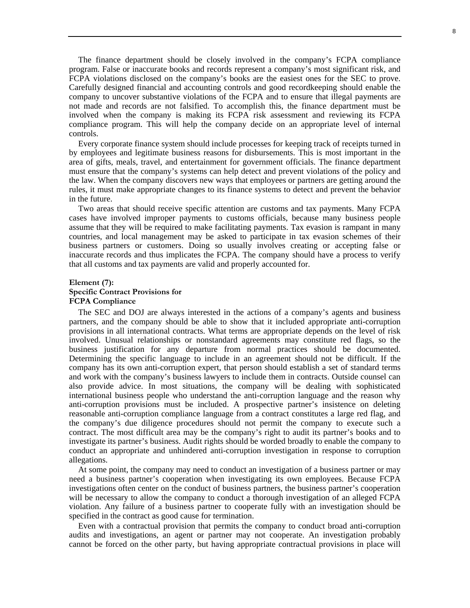The finance department should be closely involved in the company's FCPA compliance program. False or inaccurate books and records represent a company's most significant risk, and FCPA violations disclosed on the company's books are the easiest ones for the SEC to prove. Carefully designed financial and accounting controls and good recordkeeping should enable the company to uncover substantive violations of the FCPA and to ensure that illegal payments are not made and records are not falsified. To accomplish this, the finance department must be involved when the company is making its FCPA risk assessment and reviewing its FCPA compliance program. This will help the company decide on an appropriate level of internal controls.

Every corporate finance system should include processes for keeping track of receipts turned in by employees and legitimate business reasons for disbursements. This is most important in the area of gifts, meals, travel, and entertainment for government officials. The finance department must ensure that the company's systems can help detect and prevent violations of the policy and the law. When the company discovers new ways that employees or partners are getting around the rules, it must make appropriate changes to its finance systems to detect and prevent the behavior in the future.

Two areas that should receive specific attention are customs and tax payments. Many FCPA cases have involved improper payments to customs officials, because many business people assume that they will be required to make facilitating payments. Tax evasion is rampant in many countries, and local management may be asked to participate in tax evasion schemes of their business partners or customers. Doing so usually involves creating or accepting false or inaccurate records and thus implicates the FCPA. The company should have a process to verify that all customs and tax payments are valid and properly accounted for.

## **Element (7): Specific Contract Provisions for FCPA Compliance**

The SEC and DOJ are always interested in the actions of a company's agents and business partners, and the company should be able to show that it included appropriate anti-corruption provisions in all international contracts. What terms are appropriate depends on the level of risk involved. Unusual relationships or nonstandard agreements may constitute red flags, so the business justification for any departure from normal practices should be documented. Determining the specific language to include in an agreement should not be difficult. If the company has its own anti-corruption expert, that person should establish a set of standard terms and work with the company's business lawyers to include them in contracts. Outside counsel can also provide advice. In most situations, the company will be dealing with sophisticated international business people who understand the anti-corruption language and the reason why anti-corruption provisions must be included. A prospective partner's insistence on deleting reasonable anti-corruption compliance language from a contract constitutes a large red flag, and the company's due diligence procedures should not permit the company to execute such a contract. The most difficult area may be the company's right to audit its partner's books and to investigate its partner's business. Audit rights should be worded broadly to enable the company to conduct an appropriate and unhindered anti-corruption investigation in response to corruption allegations.

At some point, the company may need to conduct an investigation of a business partner or may need a business partner's cooperation when investigating its own employees. Because FCPA investigations often center on the conduct of business partners, the business partner's cooperation will be necessary to allow the company to conduct a thorough investigation of an alleged FCPA violation. Any failure of a business partner to cooperate fully with an investigation should be specified in the contract as good cause for termination.

Even with a contractual provision that permits the company to conduct broad anti-corruption audits and investigations, an agent or partner may not cooperate. An investigation probably cannot be forced on the other party, but having appropriate contractual provisions in place will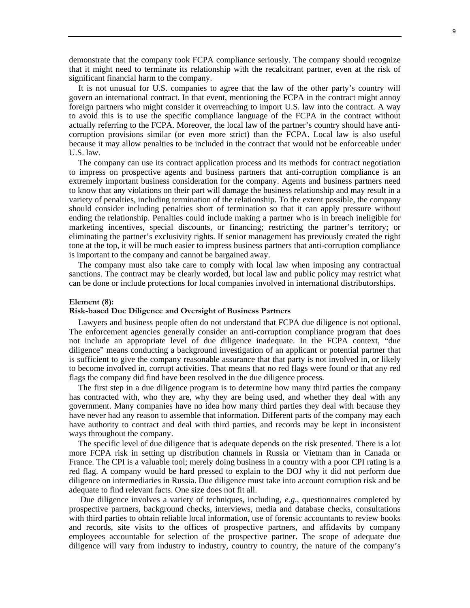demonstrate that the company took FCPA compliance seriously. The company should recognize that it might need to terminate its relationship with the recalcitrant partner, even at the risk of significant financial harm to the company.

It is not unusual for U.S. companies to agree that the law of the other party's country will govern an international contract. In that event, mentioning the FCPA in the contract might annoy foreign partners who might consider it overreaching to import U.S. law into the contract. A way to avoid this is to use the specific compliance language of the FCPA in the contract without actually referring to the FCPA. Moreover, the local law of the partner's country should have anticorruption provisions similar (or even more strict) than the FCPA. Local law is also useful because it may allow penalties to be included in the contract that would not be enforceable under U.S. law.

The company can use its contract application process and its methods for contract negotiation to impress on prospective agents and business partners that anti-corruption compliance is an extremely important business consideration for the company. Agents and business partners need to know that any violations on their part will damage the business relationship and may result in a variety of penalties, including termination of the relationship. To the extent possible, the company should consider including penalties short of termination so that it can apply pressure without ending the relationship. Penalties could include making a partner who is in breach ineligible for marketing incentives, special discounts, or financing; restricting the partner's territory; or eliminating the partner's exclusivity rights. If senior management has previously created the right tone at the top, it will be much easier to impress business partners that anti-corruption compliance is important to the company and cannot be bargained away.

The company must also take care to comply with local law when imposing any contractual sanctions. The contract may be clearly worded, but local law and public policy may restrict what can be done or include protections for local companies involved in international distributorships.

### **Element (8):**

#### **Risk-based Due Diligence and Oversight of Business Partners**

Lawyers and business people often do not understand that FCPA due diligence is not optional. The enforcement agencies generally consider an anti-corruption compliance program that does not include an appropriate level of due diligence inadequate. In the FCPA context, "due diligence" means conducting a background investigation of an applicant or potential partner that is sufficient to give the company reasonable assurance that that party is not involved in, or likely to become involved in, corrupt activities. That means that no red flags were found or that any red flags the company did find have been resolved in the due diligence process.

The first step in a due diligence program is to determine how many third parties the company has contracted with, who they are, why they are being used, and whether they deal with any government. Many companies have no idea how many third parties they deal with because they have never had any reason to assemble that information. Different parts of the company may each have authority to contract and deal with third parties, and records may be kept in inconsistent ways throughout the company.

The specific level of due diligence that is adequate depends on the risk presented. There is a lot more FCPA risk in setting up distribution channels in Russia or Vietnam than in Canada or France. The CPI is a valuable tool; merely doing business in a country with a poor CPI rating is a red flag. A company would be hard pressed to explain to the DOJ why it did not perform due diligence on intermediaries in Russia. Due diligence must take into account corruption risk and be adequate to find relevant facts. One size does not fit all.

 Due diligence involves a variety of techniques, including, *e.g*.*,* questionnaires completed by prospective partners, background checks, interviews, media and database checks, consultations with third parties to obtain reliable local information, use of forensic accountants to review books and records, site visits to the offices of prospective partners, and affidavits by company employees accountable for selection of the prospective partner. The scope of adequate due diligence will vary from industry to industry, country to country, the nature of the company's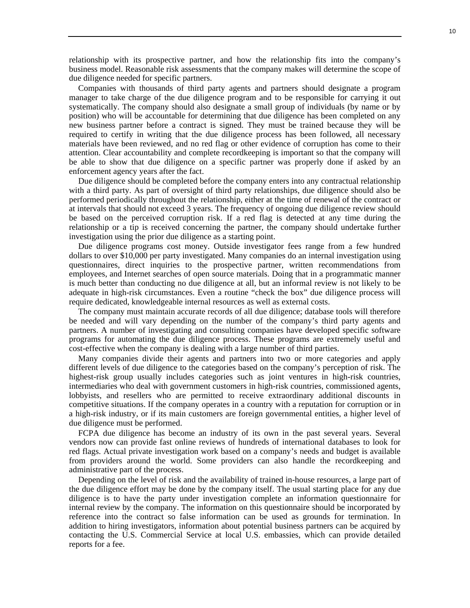relationship with its prospective partner, and how the relationship fits into the company's business model. Reasonable risk assessments that the company makes will determine the scope of due diligence needed for specific partners.

Companies with thousands of third party agents and partners should designate a program manager to take charge of the due diligence program and to be responsible for carrying it out systematically. The company should also designate a small group of individuals (by name or by position) who will be accountable for determining that due diligence has been completed on any new business partner before a contract is signed. They must be trained because they will be required to certify in writing that the due diligence process has been followed, all necessary materials have been reviewed, and no red flag or other evidence of corruption has come to their attention. Clear accountability and complete recordkeeping is important so that the company will be able to show that due diligence on a specific partner was properly done if asked by an enforcement agency years after the fact.

Due diligence should be completed before the company enters into any contractual relationship with a third party. As part of oversight of third party relationships, due diligence should also be performed periodically throughout the relationship, either at the time of renewal of the contract or at intervals that should not exceed 3 years. The frequency of ongoing due diligence review should be based on the perceived corruption risk. If a red flag is detected at any time during the relationship or a tip is received concerning the partner, the company should undertake further investigation using the prior due diligence as a starting point.

Due diligence programs cost money. Outside investigator fees range from a few hundred dollars to over \$10,000 per party investigated. Many companies do an internal investigation using questionnaires, direct inquiries to the prospective partner, written recommendations from employees, and Internet searches of open source materials. Doing that in a programmatic manner is much better than conducting no due diligence at all, but an informal review is not likely to be adequate in high-risk circumstances. Even a routine "check the box" due diligence process will require dedicated, knowledgeable internal resources as well as external costs.

The company must maintain accurate records of all due diligence; database tools will therefore be needed and will vary depending on the number of the company's third party agents and partners. A number of investigating and consulting companies have developed specific software programs for automating the due diligence process. These programs are extremely useful and cost-effective when the company is dealing with a large number of third parties.

Many companies divide their agents and partners into two or more categories and apply different levels of due diligence to the categories based on the company's perception of risk. The highest-risk group usually includes categories such as joint ventures in high-risk countries, intermediaries who deal with government customers in high-risk countries, commissioned agents, lobbyists, and resellers who are permitted to receive extraordinary additional discounts in competitive situations. If the company operates in a country with a reputation for corruption or in a high-risk industry, or if its main customers are foreign governmental entities, a higher level of due diligence must be performed.

FCPA due diligence has become an industry of its own in the past several years. Several vendors now can provide fast online reviews of hundreds of international databases to look for red flags. Actual private investigation work based on a company's needs and budget is available from providers around the world. Some providers can also handle the recordkeeping and administrative part of the process.

Depending on the level of risk and the availability of trained in-house resources, a large part of the due diligence effort may be done by the company itself. The usual starting place for any due diligence is to have the party under investigation complete an information questionnaire for internal review by the company. The information on this questionnaire should be incorporated by reference into the contract so false information can be used as grounds for termination. In addition to hiring investigators, information about potential business partners can be acquired by contacting the U.S. Commercial Service at local U.S. embassies, which can provide detailed reports for a fee.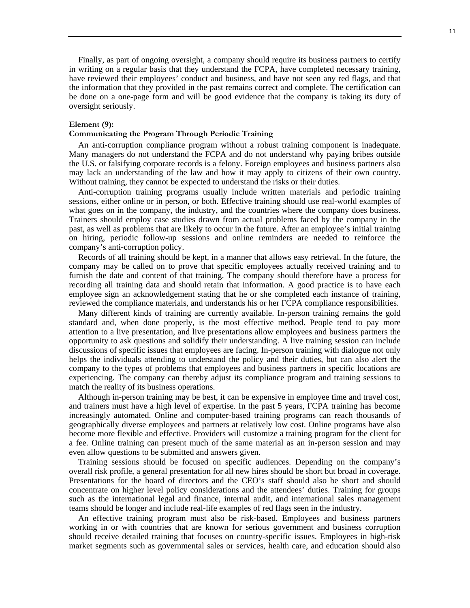Finally, as part of ongoing oversight, a company should require its business partners to certify in writing on a regular basis that they understand the FCPA, have completed necessary training, have reviewed their employees' conduct and business, and have not seen any red flags, and that the information that they provided in the past remains correct and complete. The certification can be done on a one-page form and will be good evidence that the company is taking its duty of oversight seriously.

### **Element (9):**

#### **Communicating the Program Through Periodic Training**

An anti-corruption compliance program without a robust training component is inadequate. Many managers do not understand the FCPA and do not understand why paying bribes outside the U.S. or falsifying corporate records is a felony. Foreign employees and business partners also may lack an understanding of the law and how it may apply to citizens of their own country. Without training, they cannot be expected to understand the risks or their duties.

Anti-corruption training programs usually include written materials and periodic training sessions, either online or in person, or both. Effective training should use real-world examples of what goes on in the company, the industry, and the countries where the company does business. Trainers should employ case studies drawn from actual problems faced by the company in the past, as well as problems that are likely to occur in the future. After an employee's initial training on hiring, periodic follow-up sessions and online reminders are needed to reinforce the company's anti-corruption policy.

Records of all training should be kept, in a manner that allows easy retrieval. In the future, the company may be called on to prove that specific employees actually received training and to furnish the date and content of that training. The company should therefore have a process for recording all training data and should retain that information. A good practice is to have each employee sign an acknowledgement stating that he or she completed each instance of training, reviewed the compliance materials, and understands his or her FCPA compliance responsibilities.

Many different kinds of training are currently available. In-person training remains the gold standard and, when done properly, is the most effective method. People tend to pay more attention to a live presentation, and live presentations allow employees and business partners the opportunity to ask questions and solidify their understanding. A live training session can include discussions of specific issues that employees are facing. In-person training with dialogue not only helps the individuals attending to understand the policy and their duties, but can also alert the company to the types of problems that employees and business partners in specific locations are experiencing. The company can thereby adjust its compliance program and training sessions to match the reality of its business operations.

Although in-person training may be best, it can be expensive in employee time and travel cost, and trainers must have a high level of expertise. In the past 5 years, FCPA training has become increasingly automated. Online and computer-based training programs can reach thousands of geographically diverse employees and partners at relatively low cost. Online programs have also become more flexible and effective. Providers will customize a training program for the client for a fee. Online training can present much of the same material as an in-person session and may even allow questions to be submitted and answers given.

Training sessions should be focused on specific audiences. Depending on the company's overall risk profile, a general presentation for all new hires should be short but broad in coverage. Presentations for the board of directors and the CEO's staff should also be short and should concentrate on higher level policy considerations and the attendees' duties. Training for groups such as the international legal and finance, internal audit, and international sales management teams should be longer and include real-life examples of red flags seen in the industry.

An effective training program must also be risk-based. Employees and business partners working in or with countries that are known for serious government and business corruption should receive detailed training that focuses on country-specific issues. Employees in high-risk market segments such as governmental sales or services, health care, and education should also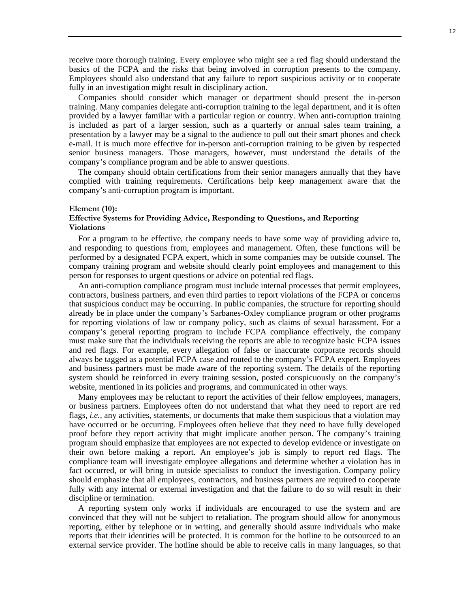receive more thorough training. Every employee who might see a red flag should understand the basics of the FCPA and the risks that being involved in corruption presents to the company. Employees should also understand that any failure to report suspicious activity or to cooperate fully in an investigation might result in disciplinary action.

Companies should consider which manager or department should present the in-person training. Many companies delegate anti-corruption training to the legal department, and it is often provided by a lawyer familiar with a particular region or country. When anti-corruption training is included as part of a larger session, such as a quarterly or annual sales team training, a presentation by a lawyer may be a signal to the audience to pull out their smart phones and check e-mail. It is much more effective for in-person anti-corruption training to be given by respected senior business managers. Those managers, however, must understand the details of the company's compliance program and be able to answer questions.

The company should obtain certifications from their senior managers annually that they have complied with training requirements. Certifications help keep management aware that the company's anti-corruption program is important.

#### **Element (10):**

## **Effective Systems for Providing Advice, Responding to Questions, and Reporting Violations**

For a program to be effective, the company needs to have some way of providing advice to, and responding to questions from, employees and management. Often, these functions will be performed by a designated FCPA expert, which in some companies may be outside counsel. The company training program and website should clearly point employees and management to this person for responses to urgent questions or advice on potential red flags.

An anti-corruption compliance program must include internal processes that permit employees, contractors, business partners, and even third parties to report violations of the FCPA or concerns that suspicious conduct may be occurring. In public companies, the structure for reporting should already be in place under the company's Sarbanes-Oxley compliance program or other programs for reporting violations of law or company policy, such as claims of sexual harassment. For a company's general reporting program to include FCPA compliance effectively, the company must make sure that the individuals receiving the reports are able to recognize basic FCPA issues and red flags. For example, every allegation of false or inaccurate corporate records should always be tagged as a potential FCPA case and routed to the company's FCPA expert. Employees and business partners must be made aware of the reporting system. The details of the reporting system should be reinforced in every training session, posted conspicuously on the company's website, mentioned in its policies and programs, and communicated in other ways.

Many employees may be reluctant to report the activities of their fellow employees, managers, or business partners. Employees often do not understand that what they need to report are red flags, *i.e.,* any activities, statements, or documents that make them suspicious that a violation may have occurred or be occurring. Employees often believe that they need to have fully developed proof before they report activity that might implicate another person. The company's training program should emphasize that employees are not expected to develop evidence or investigate on their own before making a report. An employee's job is simply to report red flags. The compliance team will investigate employee allegations and determine whether a violation has in fact occurred, or will bring in outside specialists to conduct the investigation. Company policy should emphasize that all employees, contractors, and business partners are required to cooperate fully with any internal or external investigation and that the failure to do so will result in their discipline or termination.

A reporting system only works if individuals are encouraged to use the system and are convinced that they will not be subject to retaliation. The program should allow for anonymous reporting, either by telephone or in writing, and generally should assure individuals who make reports that their identities will be protected. It is common for the hotline to be outsourced to an external service provider. The hotline should be able to receive calls in many languages, so that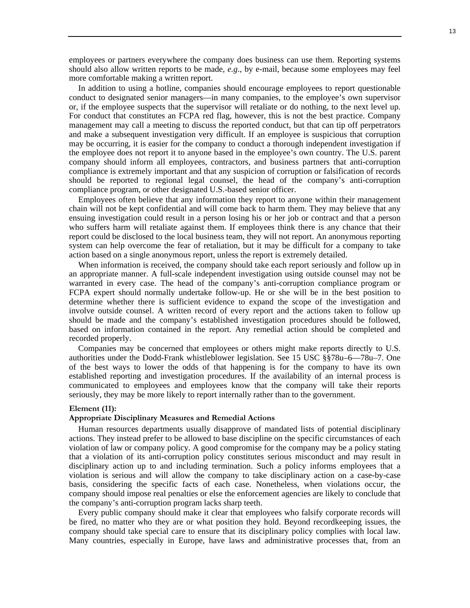employees or partners everywhere the company does business can use them. Reporting systems should also allow written reports to be made, *e.g*., by e-mail, because some employees may feel more comfortable making a written report.

In addition to using a hotline, companies should encourage employees to report questionable conduct to designated senior managers—in many companies, to the employee's own supervisor or, if the employee suspects that the supervisor will retaliate or do nothing, to the next level up. For conduct that constitutes an FCPA red flag, however, this is not the best practice. Company management may call a meeting to discuss the reported conduct, but that can tip off perpetrators and make a subsequent investigation very difficult. If an employee is suspicious that corruption may be occurring, it is easier for the company to conduct a thorough independent investigation if the employee does not report it to anyone based in the employee's own country. The U.S. parent company should inform all employees, contractors, and business partners that anti-corruption compliance is extremely important and that any suspicion of corruption or falsification of records should be reported to regional legal counsel, the head of the company's anti-corruption compliance program, or other designated U.S.-based senior officer.

Employees often believe that any information they report to anyone within their management chain will not be kept confidential and will come back to harm them. They may believe that any ensuing investigation could result in a person losing his or her job or contract and that a person who suffers harm will retaliate against them. If employees think there is any chance that their report could be disclosed to the local business team, they will not report. An anonymous reporting system can help overcome the fear of retaliation, but it may be difficult for a company to take action based on a single anonymous report, unless the report is extremely detailed.

When information is received, the company should take each report seriously and follow up in an appropriate manner. A full-scale independent investigation using outside counsel may not be warranted in every case. The head of the company's anti-corruption compliance program or FCPA expert should normally undertake follow-up. He or she will be in the best position to determine whether there is sufficient evidence to expand the scope of the investigation and involve outside counsel. A written record of every report and the actions taken to follow up should be made and the company's established investigation procedures should be followed, based on information contained in the report. Any remedial action should be completed and recorded properly.

Companies may be concerned that employees or others might make reports directly to U.S. authorities under the Dodd-Frank whistleblower legislation. See 15 USC §§78u–6—78u–7. One of the best ways to lower the odds of that happening is for the company to have its own established reporting and investigation procedures. If the availability of an internal process is communicated to employees and employees know that the company will take their reports seriously, they may be more likely to report internally rather than to the government.

#### **Element (11):**

## **Appropriate Disciplinary Measures and Remedial Actions**

Human resources departments usually disapprove of mandated lists of potential disciplinary actions. They instead prefer to be allowed to base discipline on the specific circumstances of each violation of law or company policy. A good compromise for the company may be a policy stating that a violation of its anti-corruption policy constitutes serious misconduct and may result in disciplinary action up to and including termination. Such a policy informs employees that a violation is serious and will allow the company to take disciplinary action on a case-by-case basis, considering the specific facts of each case. Nonetheless, when violations occur, the company should impose real penalties or else the enforcement agencies are likely to conclude that the company's anti-corruption program lacks sharp teeth.

Every public company should make it clear that employees who falsify corporate records will be fired, no matter who they are or what position they hold. Beyond recordkeeping issues, the company should take special care to ensure that its disciplinary policy complies with local law. Many countries, especially in Europe, have laws and administrative processes that, from an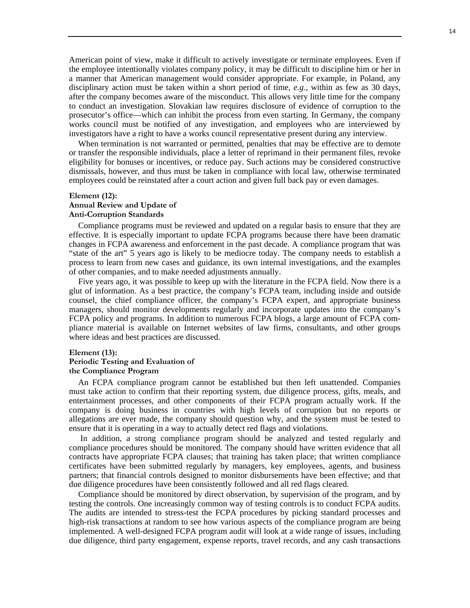American point of view, make it difficult to actively investigate or terminate employees. Even if the employee intentionally violates company policy, it may be difficult to discipline him or her in a manner that American management would consider appropriate. For example, in Poland, any disciplinary action must be taken within a short period of time, *e.g.*, within as few as 30 days, after the company becomes aware of the misconduct. This allows very little time for the company to conduct an investigation. Slovakian law requires disclosure of evidence of corruption to the prosecutor's office—which can inhibit the process from even starting. In Germany, the company works council must be notified of any investigation, and employees who are interviewed by investigators have a right to have a works council representative present during any interview.

When termination is not warranted or permitted, penalties that may be effective are to demote or transfer the responsible individuals, place a letter of reprimand in their permanent files, revoke eligibility for bonuses or incentives, or reduce pay. Such actions may be considered constructive dismissals, however, and thus must be taken in compliance with local law, otherwise terminated employees could be reinstated after a court action and given full back pay or even damages.

### **Element (12): Annual Review and Update of Anti-Corruption Standards**

Compliance programs must be reviewed and updated on a regular basis to ensure that they are effective. It is especially important to update FCPA programs because there have been dramatic changes in FCPA awareness and enforcement in the past decade. A compliance program that was "state of the art" 5 years ago is likely to be mediocre today. The company needs to establish a process to learn from new cases and guidance, its own internal investigations, and the examples of other companies, and to make needed adjustments annually.

Five years ago, it was possible to keep up with the literature in the FCPA field. Now there is a glut of information. As a best practice, the company's FCPA team, including inside and outside counsel, the chief compliance officer, the company's FCPA expert, and appropriate business managers, should monitor developments regularly and incorporate updates into the company's FCPA policy and programs. In addition to numerous FCPA blogs, a large amount of FCPA compliance material is available on Internet websites of law firms, consultants, and other groups where ideas and best practices are discussed.

#### **Element (13):**

## **Periodic Testing and Evaluation of the Compliance Program**

An FCPA compliance program cannot be established but then left unattended. Companies must take action to confirm that their reporting system, due diligence process, gifts, meals, and entertainment processes, and other components of their FCPA program actually work. If the company is doing business in countries with high levels of corruption but no reports or allegations are ever made, the company should question why, and the system must be tested to ensure that it is operating in a way to actually detect red flags and violations.

 In addition, a strong compliance program should be analyzed and tested regularly and compliance procedures should be monitored. The company should have written evidence that all contracts have appropriate FCPA clauses; that training has taken place; that written compliance certificates have been submitted regularly by managers, key employees, agents, and business partners; that financial controls designed to monitor disbursements have been effective; and that due diligence procedures have been consistently followed and all red flags cleared.

Compliance should be monitored by direct observation, by supervision of the program, and by testing the controls. One increasingly common way of testing controls is to conduct FCPA audits. The audits are intended to stress-test the FCPA procedures by picking standard processes and high-risk transactions at random to see how various aspects of the compliance program are being implemented. A well-designed FCPA program audit will look at a wide range of issues, including due diligence, third party engagement, expense reports, travel records, and any cash transactions